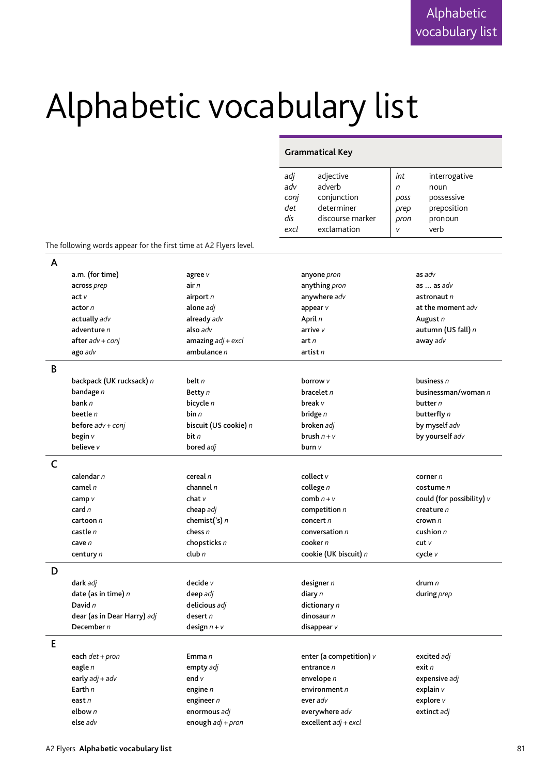## Alphabetic vocabulary list

## **Grammatical Key**

| adj  | adjective        | int         | interrogative |
|------|------------------|-------------|---------------|
| adv  | adverb           | n           | noun          |
| conj | conjunction      | <b>DOSS</b> | possessive    |
| det  | determiner       | prep        | preposition   |
| dis  | discourse marker | pron        | pronoun       |
| excl | exclamation      | ν           | verb          |

The following words appear for the first time at A2 Flyers level.

| A |                             |                       |                           |                               |
|---|-----------------------------|-----------------------|---------------------------|-------------------------------|
|   | a.m. (for time)             | agree v               | anyone pron               | as adv                        |
|   | across prep                 | air $n$               | anything pron             | as $\ldots$ as $adv$          |
|   | act <sub>V</sub>            | airport n             | anywhere adv              | astronaut $n$                 |
|   | actor n                     | alone adj             | appear v                  | at the moment adv             |
|   | actually adv                | already adv           | April n                   | August n                      |
|   | adventure n                 | also adv              | arrive $v$                | autumn (US fall) n            |
|   | $after$ $adv$ + $coni$      | amazing $adj + excl$  | art n                     | away adv                      |
|   | ago adv                     | ambulance n           | artist $n$                |                               |
| B |                             |                       |                           |                               |
|   | backpack (UK rucksack) n    | belt n                | borrow v                  | business $n$                  |
|   | bandage n                   | Betty n               | bracelet n                | businessman/woman n           |
|   | bank n                      | bicycle n             | break v                   | butter $n$                    |
|   | beetle $n$                  | bin n                 | bridge n                  | butterfly n                   |
|   | before $adv + conj$         | biscuit (US cookie) n | broken adj                | by myself adv                 |
|   | begin v                     | bit $n$               | brush $n + v$             | by yourself adv               |
|   | believe v                   | bored adj             | burn v                    |                               |
| C |                             |                       |                           |                               |
|   | calendar n                  | cereal $n$            | collect $v$               | corner $n$                    |
|   | camel $n$                   | channel $n$           | college $n$               | $\cos$ tume $n$               |
|   | camp v                      | char v                | comb $n + v$              | could (for possibility) $\nu$ |
|   | card $n$                    | cheap adj             | competition $n$           | creature $n$                  |
|   | cartoon $n$                 | chemist('s) $n$       | concert $n$               | crown $n$                     |
|   | castle n                    | chess $n$             | conversation $n$          | cushion $n$                   |
|   | cave $n$                    | chopsticks n          | cooker $n$                | cutv                          |
|   | century n                   | club $n$              | cookie (UK biscuit) n     | cycle v                       |
| D |                             |                       |                           |                               |
|   | dark adj                    | decide v              | designer $n$              | drum $n$                      |
|   | date (as in time) $n$       | deep adj              | diary n                   | during prep                   |
|   | David n                     | delicious adj         | dictionary n              |                               |
|   | dear (as in Dear Harry) adj | desert $n$            | dinosaur n                |                               |
|   | December $n$                | design $n + v$        | disappear $v$             |                               |
| E |                             |                       |                           |                               |
|   | each det + pron             | Emma $n$              | enter (a competition) $v$ | excited adj                   |
|   | eagle n                     | empty adj             | entrance n                | exit n                        |
|   | early $adj + adv$           | end $v$               | envelope n                | expensive adj                 |
|   | Earth $n$                   | engine $n$            | environment n             | explain $\nu$                 |
|   | east n                      | engineer $n$          | ever adv                  | explore $v$                   |
|   | elbow $n$                   | enormous adj          | everywhere adv            | extinct adj                   |
|   | else adv                    | enough $adj + pron$   | excellent $adj + excl$    |                               |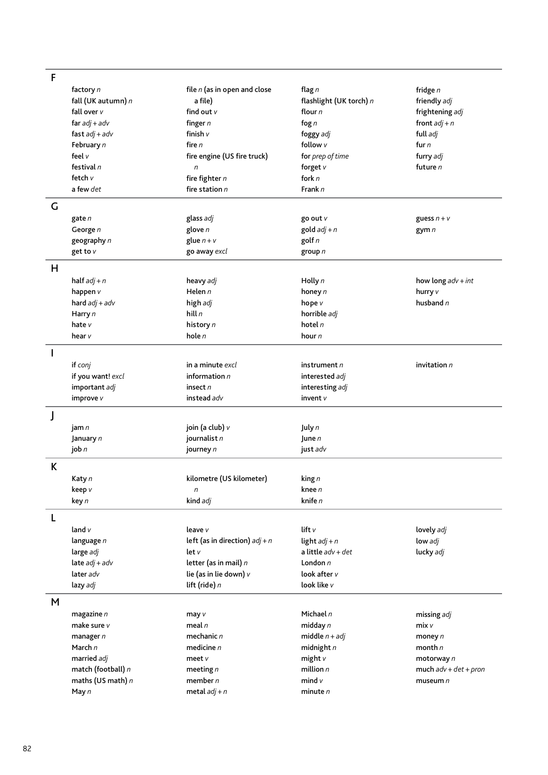| F            |                    |                                  |                         |                         |
|--------------|--------------------|----------------------------------|-------------------------|-------------------------|
|              | factory n          | file $n$ (as in open and close   | flag $n$                | fridge $n$              |
|              | fall (UK autumn) n | a file)                          | flashlight (UK torch) n | friendly adj            |
|              | fall over v        | find out v                       | flour n                 | frightening adj         |
|              | far $adj + adv$    | finger $n$                       | fog $n$                 | front $adj + n$         |
|              | fast $adj + adv$   | finish v                         | foggy adj               | full adj                |
|              | February n         | fire n                           | follow v                | fur $n$                 |
|              | feel v             | fire engine (US fire truck)      | for prep of time        | furry adj               |
|              | festival $n$       | n                                | forget $v$              | future $n$              |
|              | fetch v            | fire fighter $n$                 | fork $n$                |                         |
|              | a few det          | fire station $n$                 | Frank n                 |                         |
|              |                    |                                  |                         |                         |
| G            |                    |                                  |                         |                         |
|              | gate n             | glass adj                        | go out v                | guess $n + v$           |
|              | George n           | glove n                          | gold $adj + n$          | gym $n$                 |
|              | geography n        | glue $n + v$                     | golf $n$                |                         |
|              | get to v           | go away excl                     | group $n$               |                         |
| H            |                    |                                  |                         |                         |
|              |                    |                                  |                         |                         |
|              | half $adj + n$     | heavy adj                        | Holly $n$               | how long $adv + int$    |
|              | happen v           | Helen $n$                        | honey n                 | hurry v                 |
|              | hard $adj + adv$   | high adj                         | hope v                  | husband $n$             |
|              | Harry n            | hill $n$                         | horrible adj            |                         |
|              | hate v             | history n                        | hotel $n$               |                         |
|              | hear v             | hole $n$                         | hour n                  |                         |
| $\mathbf{I}$ |                    |                                  |                         |                         |
|              | if conj            | in a minute excl                 | instrument n            | invitation n            |
|              | if you want! excl  | information $n$                  | interested adj          |                         |
|              | important adj      | insect $n$                       | interesting adj         |                         |
|              | improve v          | instead adv                      | invent $v$              |                         |
|              |                    |                                  |                         |                         |
| J            |                    |                                  |                         |                         |
|              | jam n              | join (a club) v                  | July n                  |                         |
|              | January n          | journalist n                     | June $n$                |                         |
|              | job $n$            | journey n                        | just adv                |                         |
| K            |                    |                                  |                         |                         |
|              |                    |                                  |                         |                         |
|              | Katy n             | kilometre (US kilometer)         | king n                  |                         |
|              | keep v             | $\boldsymbol{n}$                 | knee $n$<br>knife n     |                         |
|              | key n              | kind adj                         |                         |                         |
| L            |                    |                                  |                         |                         |
|              | land $v$           | leave v                          | lift v                  | lovely adj              |
|              | language n         | left (as in direction) $adj + n$ | light $adj + n$         | low adj                 |
|              | large adj          | let v                            | a little $adv + det$    | lucky adj               |
|              | late $adj + adv$   | letter (as in mail) $n$          | London $n$              |                         |
|              | later adv          | lie (as in lie down) v           | look after v            |                         |
|              | lazy adj           | lift (ride) n                    | look like v             |                         |
|              |                    |                                  |                         |                         |
| M            |                    |                                  |                         |                         |
|              | magazine $n$       | may v                            | Michael n               | missing adj             |
|              | make sure v        | meal $n$                         | midday $n$              | mixv                    |
|              | manager $n$        | mechanic $n$                     | middle $n + adj$        | money $n$               |
|              | March $n$          | medicine $n$                     | midnight $n$            | month $n$               |
|              | married adj        | meet $v$                         | might $v$               | motorway n              |
|              | match (football) n | meeting $n$                      | million $n$             | much $adv + det + pron$ |
|              | maths (US math) n  | member $n$                       | mind $v$                | museum $n$              |
|              | May $n$            | metal $adj + n$                  | minute $n$              |                         |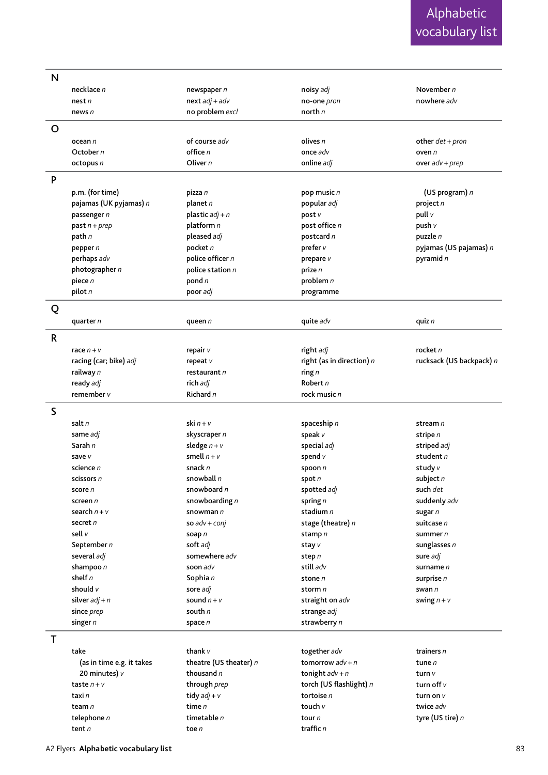| N           |                           |                        |                             |                          |
|-------------|---------------------------|------------------------|-----------------------------|--------------------------|
|             | necklace n                | newspaper n            | noisy adj                   | November $n$             |
|             | nest n                    | $next adj + adv$       | no-one pron                 | nowhere adv              |
|             | news n                    | no problem excl        | north $n$                   |                          |
|             |                           |                        |                             |                          |
| O           |                           |                        |                             |                          |
|             | ocean n                   | of course adv          | olives n                    | other $det + pron$       |
|             | October n                 | office $n$             | once adv                    | oven n                   |
|             | octopus n                 | Oliver $n$             | online adj                  | over $adv + prep$        |
| P           |                           |                        |                             |                          |
|             | p.m. (for time)           | pizza n                | pop music n                 | (US program) n           |
|             | pajamas (UK pyjamas) n    | planet $n$             | popular adj                 | project n                |
|             | passenger n               | plastic $adj + n$      | post v                      | pull v                   |
|             | past $n + prep$           | platform n             | post office n               | push v                   |
|             | path n                    | pleased adj            | postcard n                  | puzzle $n$               |
|             |                           | pocket n               |                             |                          |
|             | pepper $n$                |                        | prefer v                    | pyjamas (US pajamas) n   |
|             | perhaps adv               | police officer $n$     | prepare v                   | pyramid $n$              |
|             | photographer $n$          | police station $n$     | prize n                     |                          |
|             | piece n                   | pond $n$               | problem $n$                 |                          |
|             | pilot $n$                 | poor adj               | programme                   |                          |
| Q           |                           |                        |                             |                          |
|             | quarter $n$               | queen n                | quite adv                   | quiz $n$                 |
| $\mathsf R$ |                           |                        |                             |                          |
|             | race $n + v$              | repair v               | right adj                   | rocket $n$               |
|             | racing (car; bike) adj    | repeat v               | right (as in direction) $n$ | rucksack (US backpack) n |
|             |                           | restaurant n           |                             |                          |
|             | railway n                 |                        | ring $n$                    |                          |
|             | ready adj                 | rich adj               | Robert $n$                  |                          |
|             | remember v                | Richard n              | rock music n                |                          |
| S           |                           |                        |                             |                          |
|             | salt n                    | ski $n + v$            | spaceship n                 | stream n                 |
|             | same adj                  | skyscraper n           | speak v                     | stripe n                 |
|             | Sarah $n$                 | sledge $n + v$         | special adj                 | striped adj              |
|             | save v                    | smell $n + v$          | spend v                     | student n                |
|             | science n                 | snack n                | spoon $n$                   | study v                  |
|             | scissors n                | snowball n             | spot $n$                    | subject $n$              |
|             | score n                   | snowboard $n$          | spotted adj                 | such det                 |
|             | screen $n$                | snowboarding $n$       | spring $n$                  | suddenly adv             |
|             | search $n + v$            | snowman $n$            | stadium n                   |                          |
|             | secret $n$                |                        |                             | sugar n                  |
|             |                           | so $adv + conj$        | stage (theatre) n           | suitcase n               |
|             | sell v                    | soap n                 | stamp n                     | summer n                 |
|             | September n               | soft adj               | stay v                      | sunglasses $n$           |
|             | several adj               | somewhere adv          | step n                      | sure adj                 |
|             | shampoo $n$               | soon adv               | still adv                   | surname n                |
|             | shelf $n$                 | Sophia n               | stone n                     | surprise n               |
|             | should $V$                | sore adj               | storm n                     | swan $n$                 |
|             | silver $adj + n$          | sound $n + v$          | straight on adv             | swing $n + v$            |
|             | since prep                | south $n$              | strange adj                 |                          |
|             | singer $n$                | space n                | strawberry n                |                          |
| T           |                           |                        |                             |                          |
|             | take                      | thank $\nu$            | together adv                | trainers n               |
|             | (as in time e.g. it takes | theatre (US theater) n | tomorrow $adv + n$          | tune $n$                 |
|             | 20 minutes) $v$           | thousand n             | tonight $adv + n$           | turn v                   |
|             | taste $n + v$             | through prep           | torch (US flashlight) n     | turn off $v$             |
|             |                           |                        |                             |                          |
|             | taxi n                    | tidy $adj + v$         | tortoise n                  | turn on v                |
|             | team n                    | time $n$               | touch $v$                   | twice adv                |
|             | telephone n               | timetable $n$          | tour n                      | tyre (US tire) n         |
|             | tent n                    | toe $n$                | traffic n                   |                          |

A2 Flyers **Alphabetic vocabulary list**